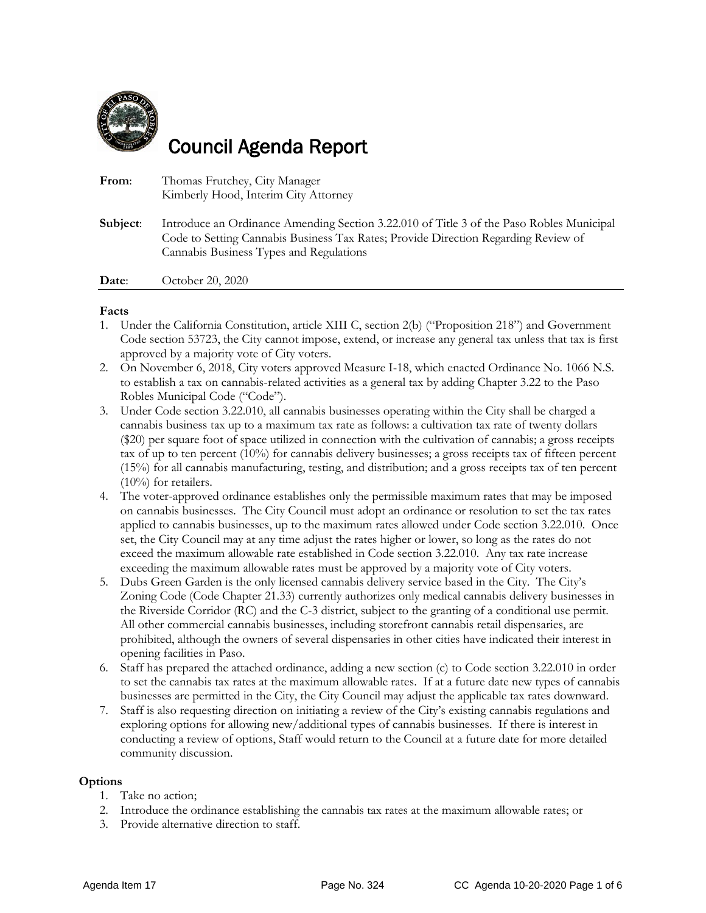

## Council Agenda Report

From: Thomas Frutchey, City Manager Kimberly Hood, Interim City Attorney **Subject**: Introduce an Ordinance Amending Section 3.22.010 of Title 3 of the Paso Robles Municipal Code to Setting Cannabis Business Tax Rates; Provide Direction Regarding Review of Cannabis Business Types and Regulations

**Date:** October 20, 2020

#### **Facts**

- 1. Under the California Constitution, article XIII C, section 2(b) ("Proposition 218") and Government Code section 53723, the City cannot impose, extend, or increase any general tax unless that tax is first approved by a majority vote of City voters.
- 2. On November 6, 2018, City voters approved Measure I-18, which enacted Ordinance No. 1066 N.S. to establish a tax on cannabis-related activities as a general tax by adding Chapter 3.22 to the Paso Robles Municipal Code ("Code").
- 3. Under Code section 3.22.010, all cannabis businesses operating within the City shall be charged a cannabis business tax up to a maximum tax rate as follows: a cultivation tax rate of twenty dollars (\$20) per square foot of space utilized in connection with the cultivation of cannabis; a gross receipts tax of up to ten percent (10%) for cannabis delivery businesses; a gross receipts tax of fifteen percent (15%) for all cannabis manufacturing, testing, and distribution; and a gross receipts tax of ten percent (10%) for retailers.
- 4. The voter-approved ordinance establishes only the permissible maximum rates that may be imposed on cannabis businesses. The City Council must adopt an ordinance or resolution to set the tax rates applied to cannabis businesses, up to the maximum rates allowed under Code section 3.22.010. Once set, the City Council may at any time adjust the rates higher or lower, so long as the rates do not exceed the maximum allowable rate established in Code section 3.22.010. Any tax rate increase exceeding the maximum allowable rates must be approved by a majority vote of City voters.
- 5. Dubs Green Garden is the only licensed cannabis delivery service based in the City. The City's Zoning Code (Code Chapter 21.33) currently authorizes only medical cannabis delivery businesses in the Riverside Corridor (RC) and the C-3 district, subject to the granting of a conditional use permit. All other commercial cannabis businesses, including storefront cannabis retail dispensaries, are prohibited, although the owners of several dispensaries in other cities have indicated their interest in opening facilities in Paso.
- 6. Staff has prepared the attached ordinance, adding a new section (c) to Code section 3.22.010 in order to set the cannabis tax rates at the maximum allowable rates. If at a future date new types of cannabis businesses are permitted in the City, the City Council may adjust the applicable tax rates downward.
- 7. Staff is also requesting direction on initiating a review of the City's existing cannabis regulations and exploring options for allowing new/additional types of cannabis businesses. If there is interest in conducting a review of options, Staff would return to the Council at a future date for more detailed community discussion.

#### **Options**

- 1. Take no action;
- 2. Introduce the ordinance establishing the cannabis tax rates at the maximum allowable rates; or
- 3. Provide alternative direction to staff.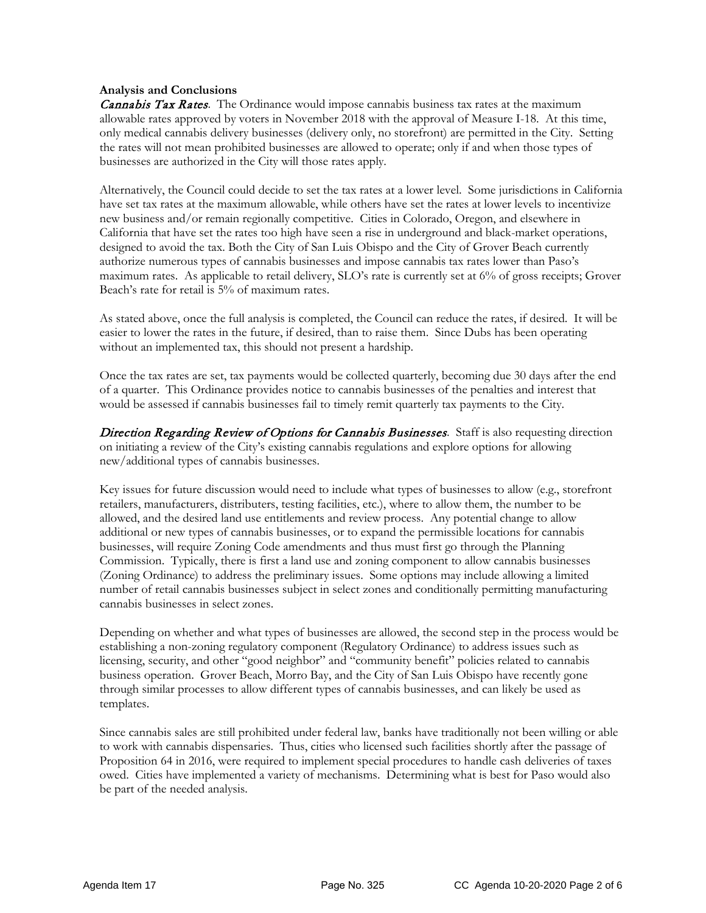#### **Analysis and Conclusions**

**Cannabis Tax Rates**. The Ordinance would impose cannabis business tax rates at the maximum allowable rates approved by voters in November 2018 with the approval of Measure I-18. At this time, only medical cannabis delivery businesses (delivery only, no storefront) are permitted in the City. Setting the rates will not mean prohibited businesses are allowed to operate; only if and when those types of businesses are authorized in the City will those rates apply.

Alternatively, the Council could decide to set the tax rates at a lower level. Some jurisdictions in California have set tax rates at the maximum allowable, while others have set the rates at lower levels to incentivize new business and/or remain regionally competitive. Cities in Colorado, Oregon, and elsewhere in California that have set the rates too high have seen a rise in underground and black-market operations, designed to avoid the tax. Both the City of San Luis Obispo and the City of Grover Beach currently authorize numerous types of cannabis businesses and impose cannabis tax rates lower than Paso's maximum rates. As applicable to retail delivery, SLO's rate is currently set at 6% of gross receipts; Grover Beach's rate for retail is 5% of maximum rates.

As stated above, once the full analysis is completed, the Council can reduce the rates, if desired. It will be easier to lower the rates in the future, if desired, than to raise them. Since Dubs has been operating without an implemented tax, this should not present a hardship.

Once the tax rates are set, tax payments would be collected quarterly, becoming due 30 days after the end of a quarter. This Ordinance provides notice to cannabis businesses of the penalties and interest that would be assessed if cannabis businesses fail to timely remit quarterly tax payments to the City.

Direction Regarding Review of Options for Cannabis Businesses. Staff is also requesting direction on initiating a review of the City's existing cannabis regulations and explore options for allowing new/additional types of cannabis businesses.

Key issues for future discussion would need to include what types of businesses to allow (e.g., storefront retailers, manufacturers, distributers, testing facilities, etc.), where to allow them, the number to be allowed, and the desired land use entitlements and review process. Any potential change to allow additional or new types of cannabis businesses, or to expand the permissible locations for cannabis businesses, will require Zoning Code amendments and thus must first go through the Planning Commission. Typically, there is first a land use and zoning component to allow cannabis businesses (Zoning Ordinance) to address the preliminary issues. Some options may include allowing a limited number of retail cannabis businesses subject in select zones and conditionally permitting manufacturing cannabis businesses in select zones.

Depending on whether and what types of businesses are allowed, the second step in the process would be establishing a non-zoning regulatory component (Regulatory Ordinance) to address issues such as licensing, security, and other "good neighbor" and "community benefit" policies related to cannabis business operation. Grover Beach, Morro Bay, and the City of San Luis Obispo have recently gone through similar processes to allow different types of cannabis businesses, and can likely be used as templates.

Since cannabis sales are still prohibited under federal law, banks have traditionally not been willing or able to work with cannabis dispensaries. Thus, cities who licensed such facilities shortly after the passage of Proposition 64 in 2016, were required to implement special procedures to handle cash deliveries of taxes owed. Cities have implemented a variety of mechanisms. Determining what is best for Paso would also be part of the needed analysis.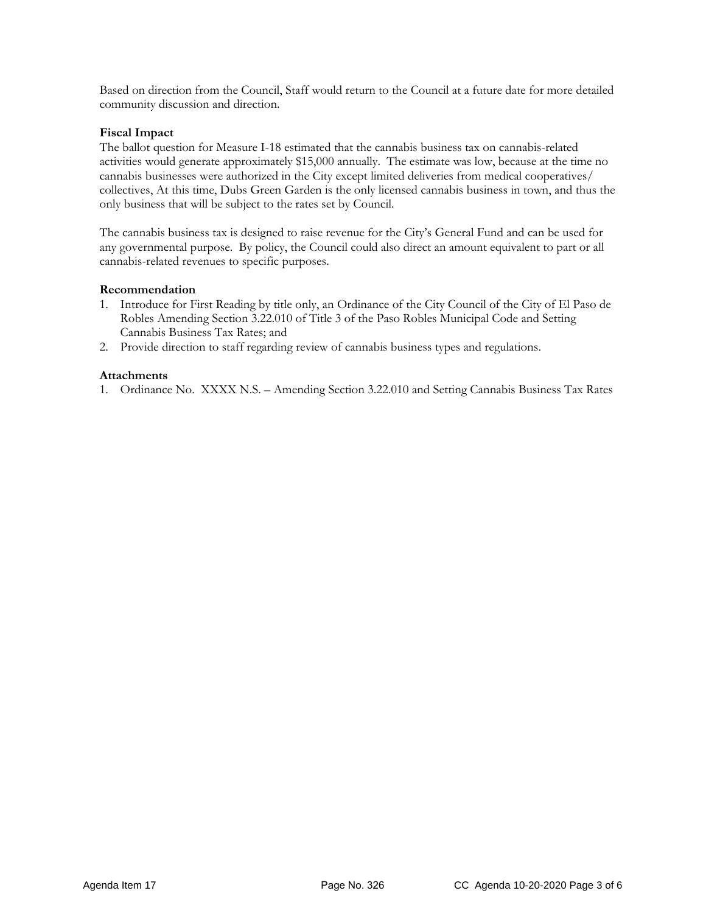Based on direction from the Council, Staff would return to the Council at a future date for more detailed community discussion and direction.

#### **Fiscal Impact**

The ballot question for Measure I-18 estimated that the cannabis business tax on cannabis-related activities would generate approximately \$15,000 annually. The estimate was low, because at the time no cannabis businesses were authorized in the City except limited deliveries from medical cooperatives/ collectives, At this time, Dubs Green Garden is the only licensed cannabis business in town, and thus the only business that will be subject to the rates set by Council.

The cannabis business tax is designed to raise revenue for the City's General Fund and can be used for any governmental purpose. By policy, the Council could also direct an amount equivalent to part or all cannabis-related revenues to specific purposes.

#### **Recommendation**

- 1. Introduce for First Reading by title only, an Ordinance of the City Council of the City of El Paso de Robles Amending Section 3.22.010 of Title 3 of the Paso Robles Municipal Code and Setting Cannabis Business Tax Rates; and
- 2. Provide direction to staff regarding review of cannabis business types and regulations.

#### **Attachments**

1. Ordinance No. XXXX N.S. – Amending Section 3.22.010 and Setting Cannabis Business Tax Rates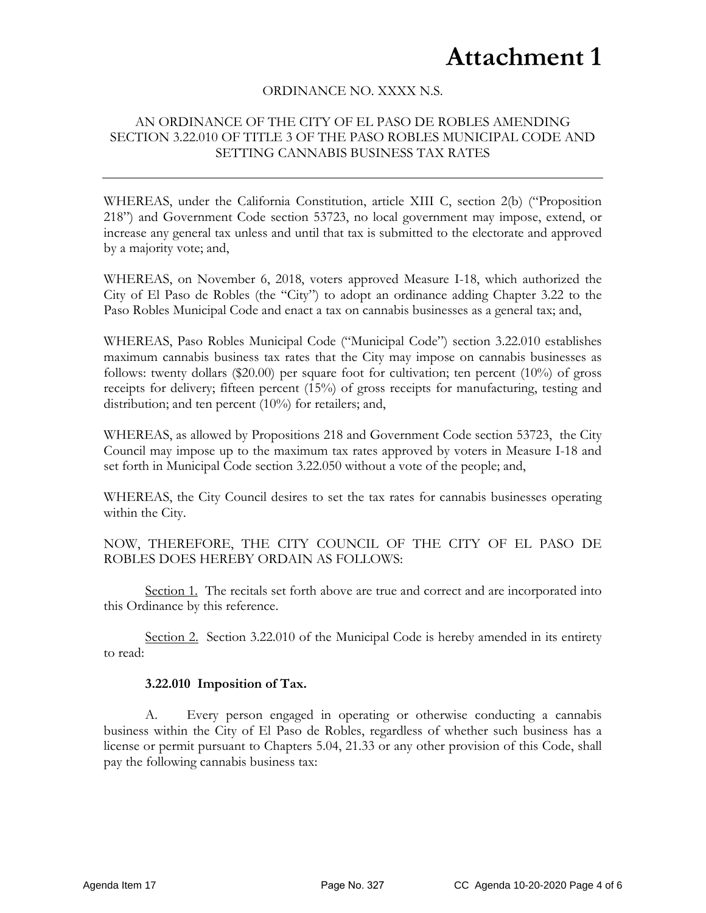# **Attachment 1**

### ORDINANCE NO. XXXX N.S.

### AN ORDINANCE OF THE CITY OF EL PASO DE ROBLES AMENDING SECTION 3.22.010 OF TITLE 3 OF THE PASO ROBLES MUNICIPAL CODE AND SETTING CANNABIS BUSINESS TAX RATES

WHEREAS, under the California Constitution, article XIII C, section 2(b) ("Proposition 218") and Government Code section 53723, no local government may impose, extend, or increase any general tax unless and until that tax is submitted to the electorate and approved by a majority vote; and,

WHEREAS, on November 6, 2018, voters approved Measure I-18, which authorized the City of El Paso de Robles (the "City") to adopt an ordinance adding Chapter 3.22 to the Paso Robles Municipal Code and enact a tax on cannabis businesses as a general tax; and,

WHEREAS, Paso Robles Municipal Code ("Municipal Code") section 3.22.010 establishes maximum cannabis business tax rates that the City may impose on cannabis businesses as follows: twenty dollars (\$20.00) per square foot for cultivation; ten percent (10%) of gross receipts for delivery; fifteen percent (15%) of gross receipts for manufacturing, testing and distribution; and ten percent (10%) for retailers; and,

WHEREAS, as allowed by Propositions 218 and Government Code section 53723, the City Council may impose up to the maximum tax rates approved by voters in Measure I-18 and set forth in Municipal Code section 3.22.050 without a vote of the people; and,

WHEREAS, the City Council desires to set the tax rates for cannabis businesses operating within the City.

NOW, THEREFORE, THE CITY COUNCIL OF THE CITY OF EL PASO DE ROBLES DOES HEREBY ORDAIN AS FOLLOWS:

Section 1. The recitals set forth above are true and correct and are incorporated into this Ordinance by this reference.

Section 2. Section 3.22.010 of the Municipal Code is hereby amended in its entirety to read:

#### **3.22.010 Imposition of Tax.**

A. Every person engaged in operating or otherwise conducting a cannabis business within the City of El Paso de Robles, regardless of whether such business has a license or permit pursuant to Chapters 5.04, 21.33 or any other provision of this Code, shall pay the following cannabis business tax: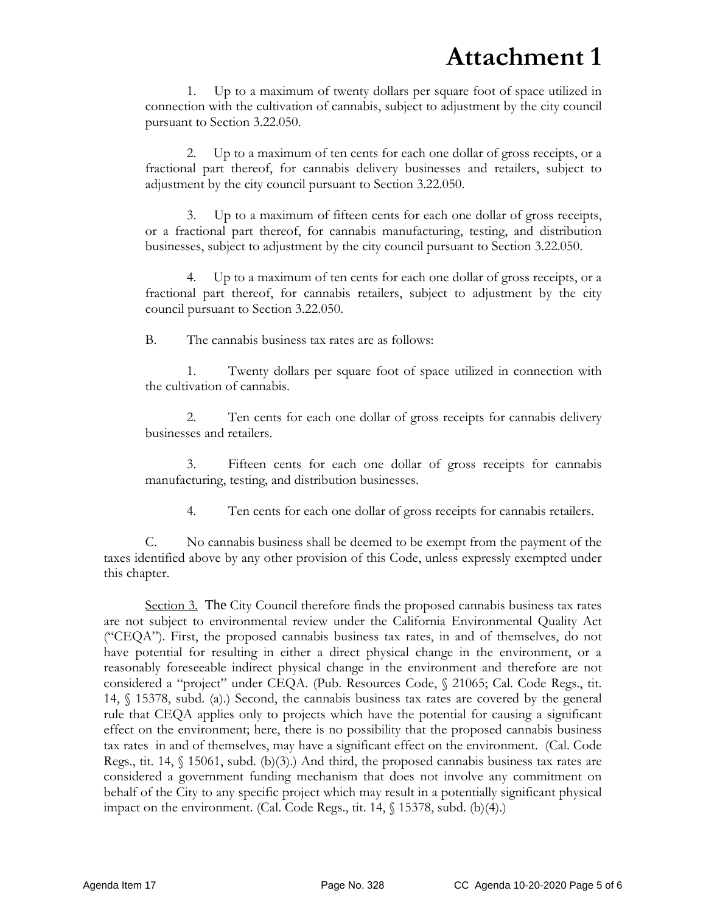1. Up to a maximum of twenty dollars per square foot of space utilized in connection with the cultivation of cannabis, subject to adjustment by the city council pursuant to Section 3.22.050.

2. Up to a maximum of ten cents for each one dollar of gross receipts, or a fractional part thereof, for cannabis delivery businesses and retailers, subject to adjustment by the city council pursuant to Section 3.22.050.

3. Up to a maximum of fifteen cents for each one dollar of gross receipts, or a fractional part thereof, for cannabis manufacturing, testing, and distribution businesses, subject to adjustment by the city council pursuant to Section 3.22.050.

4. Up to a maximum of ten cents for each one dollar of gross receipts, or a fractional part thereof, for cannabis retailers, subject to adjustment by the city council pursuant to Section 3.22.050.

B. The cannabis business tax rates are as follows:

1. Twenty dollars per square foot of space utilized in connection with the cultivation of cannabis.

2. Ten cents for each one dollar of gross receipts for cannabis delivery businesses and retailers.

3. Fifteen cents for each one dollar of gross receipts for cannabis manufacturing, testing, and distribution businesses.

4. Ten cents for each one dollar of gross receipts for cannabis retailers.

C. No cannabis business shall be deemed to be exempt from the payment of the taxes identified above by any other provision of this Code, unless expressly exempted under this chapter.

Section 3. The City Council therefore finds the proposed cannabis business tax rates are not subject to environmental review under the California Environmental Quality Act ("CEQA"). First, the proposed cannabis business tax rates, in and of themselves, do not have potential for resulting in either a direct physical change in the environment, or a reasonably foreseeable indirect physical change in the environment and therefore are not considered a "project" under CEQA. (Pub. Resources Code, § 21065; Cal. Code Regs., tit. 14, § 15378, subd. (a).) Second, the cannabis business tax rates are covered by the general rule that CEQA applies only to projects which have the potential for causing a significant effect on the environment; here, there is no possibility that the proposed cannabis business tax rates in and of themselves, may have a significant effect on the environment. (Cal. Code Regs., tit. 14,  $\{(15061, \text{subd}, (b)(3))\}$  And third, the proposed cannabis business tax rates are considered a government funding mechanism that does not involve any commitment on behalf of the City to any specific project which may result in a potentially significant physical impact on the environment. (Cal. Code Regs., tit.  $14$ ,  $\{(15378, \text{subd.} (b)(4)\})$